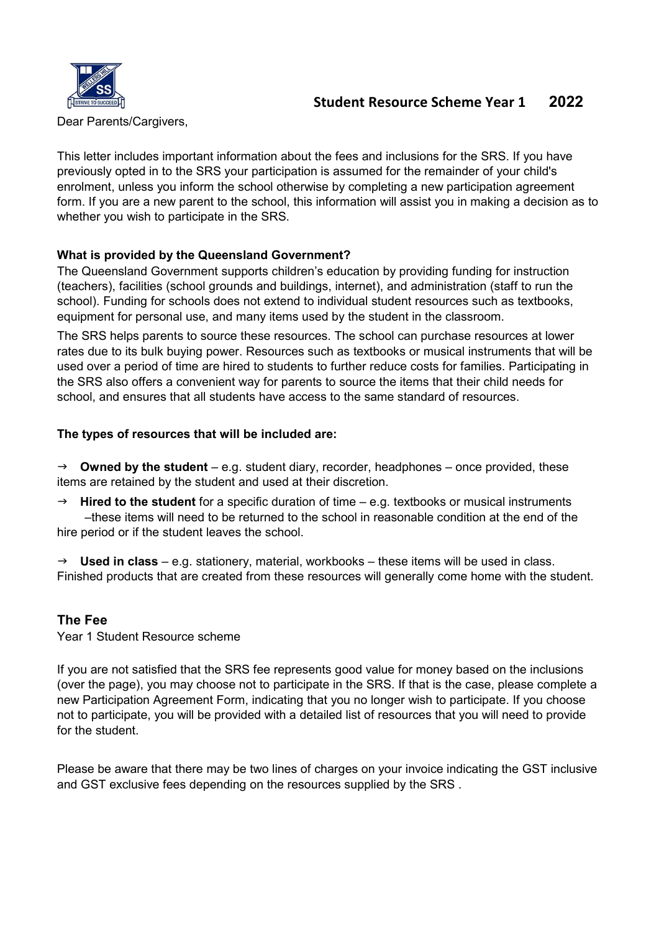

## Student Resource Scheme Year 1 2022

Dear Parents/Cargivers,

This letter includes important information about the fees and inclusions for the SRS. If you have previously opted in to the SRS your participation is assumed for the remainder of your child's enrolment, unless you inform the school otherwise by completing a new participation agreement form. If you are a new parent to the school, this information will assist you in making a decision as to whether you wish to participate in the SRS.

#### What is provided by the Queensland Government?

The Queensland Government supports children's education by providing funding for instruction (teachers), facilities (school grounds and buildings, internet), and administration (staff to run the school). Funding for schools does not extend to individual student resources such as textbooks, equipment for personal use, and many items used by the student in the classroom.

The SRS helps parents to source these resources. The school can purchase resources at lower rates due to its bulk buying power. Resources such as textbooks or musical instruments that will be used over a period of time are hired to students to further reduce costs for families. Participating in the SRS also offers a convenient way for parents to source the items that their child needs for school, and ensures that all students have access to the same standard of resources.

#### The types of resources that will be included are:

 $\rightarrow$  Owned by the student – e.g. student diary, recorder, headphones – once provided, these items are retained by the student and used at their discretion.

 $\rightarrow$  Hired to the student for a specific duration of time – e.g. textbooks or musical instruments –these items will need to be returned to the school in reasonable condition at the end of the hire period or if the student leaves the school.

 $\rightarrow$  Used in class – e.g. stationery, material, workbooks – these items will be used in class. Finished products that are created from these resources will generally come home with the student.

#### The Fee

Year 1 Student Resource scheme

If you are not satisfied that the SRS fee represents good value for money based on the inclusions (over the page), you may choose not to participate in the SRS. If that is the case, please complete a new Participation Agreement Form, indicating that you no longer wish to participate. If you choose not to participate, you will be provided with a detailed list of resources that you will need to provide for the student.

Please be aware that there may be two lines of charges on your invoice indicating the GST inclusive and GST exclusive fees depending on the resources supplied by the SRS .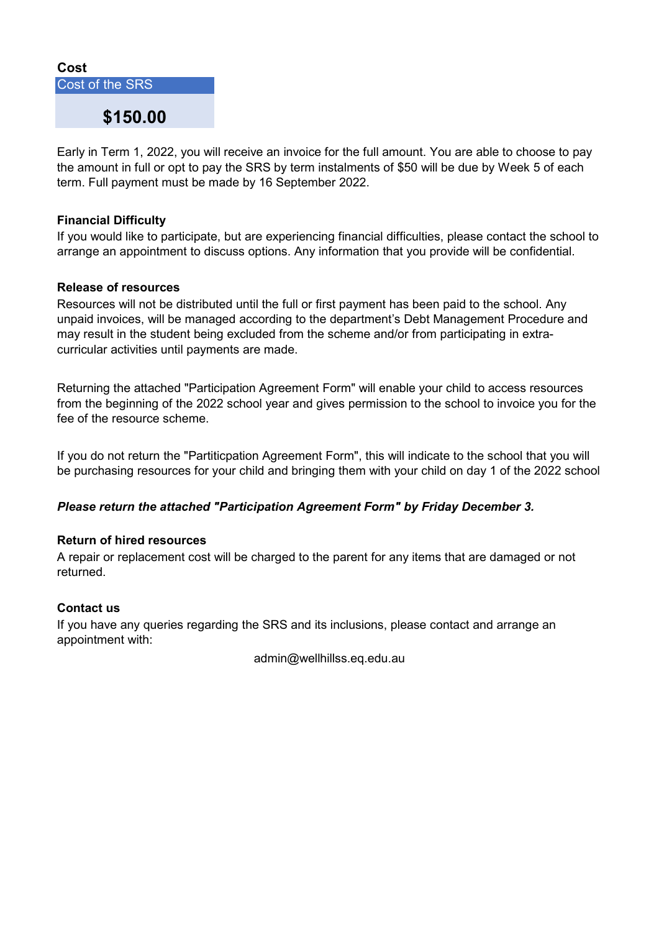#### Cost

Cost of the SRS

# \$150.00

Early in Term 1, 2022, you will receive an invoice for the full amount. You are able to choose to pay the amount in full or opt to pay the SRS by term instalments of \$50 will be due by Week 5 of each term. Full payment must be made by 16 September 2022.

#### Financial Difficulty

If you would like to participate, but are experiencing financial difficulties, please contact the school to arrange an appointment to discuss options. Any information that you provide will be confidential.

#### Release of resources

Resources will not be distributed until the full or first payment has been paid to the school. Any unpaid invoices, will be managed according to the department's Debt Management Procedure and may result in the student being excluded from the scheme and/or from participating in extracurricular activities until payments are made.

Returning the attached "Participation Agreement Form" will enable your child to access resources from the beginning of the 2022 school year and gives permission to the school to invoice you for the fee of the resource scheme.

If you do not return the "Partiticpation Agreement Form", this will indicate to the school that you will be purchasing resources for your child and bringing them with your child on day 1 of the 2022 school

#### Please return the attached "Participation Agreement Form" by Friday December 3.

#### Return of hired resources

A repair or replacement cost will be charged to the parent for any items that are damaged or not returned.

#### Contact us

If you have any queries regarding the SRS and its inclusions, please contact and arrange an appointment with:

admin@wellhillss.eq.edu.au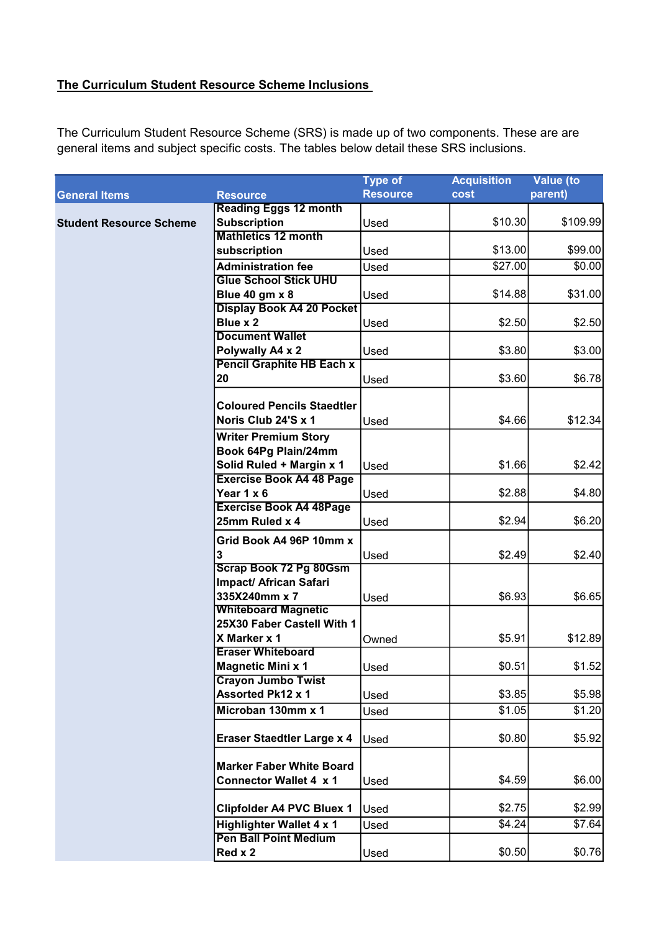### The Curriculum Student Resource Scheme Inclusions

The Curriculum Student Resource Scheme (SRS) is made up of two components. These are are general items and subject specific costs. The tables below detail these SRS inclusions.

|                                |                                   | <b>Type of</b>  | <b>Acquisition</b> | <b>Value</b> (to |
|--------------------------------|-----------------------------------|-----------------|--------------------|------------------|
| <b>General Items</b>           | <b>Resource</b>                   | <b>Resource</b> | cost               | parent)          |
|                                | <b>Reading Eggs 12 month</b>      |                 |                    |                  |
| <b>Student Resource Scheme</b> | <b>Subscription</b>               | Used            | \$10.30            | \$109.99         |
|                                | <b>Mathletics 12 month</b>        |                 |                    |                  |
|                                | subscription                      | Used            | \$13.00            | \$99.00          |
|                                | <b>Administration fee</b>         | Used            | \$27.00            | \$0.00           |
|                                | <b>Glue School Stick UHU</b>      |                 |                    |                  |
|                                | <b>Blue 40 gm x 8</b>             | Used            | \$14.88            | \$31.00          |
|                                | <b>Display Book A4 20 Pocket</b>  |                 |                    |                  |
|                                | Blue x 2                          | Used            | \$2.50             | \$2.50           |
|                                | <b>Document Wallet</b>            |                 |                    |                  |
|                                | Polywally A4 x 2                  | Used            | \$3.80             | \$3.00           |
|                                | <b>Pencil Graphite HB Each x</b>  |                 |                    |                  |
|                                | 20                                | Used            | \$3.60             | \$6.78           |
|                                |                                   |                 |                    |                  |
|                                | <b>Coloured Pencils Staedtler</b> |                 |                    |                  |
|                                | Noris Club 24'S x 1               | Used            | \$4.66             | \$12.34          |
|                                | <b>Writer Premium Story</b>       |                 |                    |                  |
|                                | Book 64Pg Plain/24mm              |                 |                    |                  |
|                                | Solid Ruled + Margin x 1          | Used            | \$1.66             | \$2.42           |
|                                | <b>Exercise Book A4 48 Page</b>   |                 |                    |                  |
|                                | Year 1 x 6                        | Used            | \$2.88             | \$4.80           |
|                                | <b>Exercise Book A4 48Page</b>    |                 |                    |                  |
|                                | 25mm Ruled x 4                    | Used            | \$2.94             | \$6.20           |
|                                | Grid Book A4 96P 10mm x           |                 |                    |                  |
|                                | 3                                 | Used            | \$2.49             | \$2.40           |
|                                | <b>Scrap Book 72 Pg 80Gsm</b>     |                 |                    |                  |
|                                | <b>Impact/ African Safari</b>     |                 |                    |                  |
|                                | 335X240mm x 7                     | Used            | \$6.93             | \$6.65           |
|                                | <b>Whiteboard Magnetic</b>        |                 |                    |                  |
|                                | 25X30 Faber Castell With 1        |                 |                    |                  |
|                                | X Marker x 1                      | Owned           | \$5.91             | \$12.89          |
|                                | <b>Eraser Whiteboard</b>          |                 |                    |                  |
|                                | <b>Magnetic Mini x 1</b>          | Used            | \$0.51]            | \$1.52           |
|                                | <b>Crayon Jumbo Twist</b>         |                 |                    |                  |
|                                | <b>Assorted Pk12 x 1</b>          | Used            | \$3.85             | \$5.98           |
|                                | Microban 130mm x 1                | Used            | \$1.05             | \$1.20           |
|                                |                                   |                 |                    |                  |
|                                | <b>Eraser Staedtler Large x 4</b> | Used            | \$0.80             | \$5.92           |
|                                |                                   |                 |                    |                  |
|                                | <b>Marker Faber White Board</b>   |                 |                    |                  |
|                                | <b>Connector Wallet 4 x 1</b>     | Used            | \$4.59             | \$6.00           |
|                                |                                   |                 |                    |                  |
|                                | <b>Clipfolder A4 PVC Bluex 1</b>  | Used            | \$2.75             | \$2.99           |
|                                | <b>Highlighter Wallet 4 x 1</b>   | Used            | \$4.24             | \$7.64]          |
|                                | <b>Pen Ball Point Medium</b>      |                 |                    |                  |
|                                | Red x 2                           | Used            | \$0.50             | \$0.76]          |